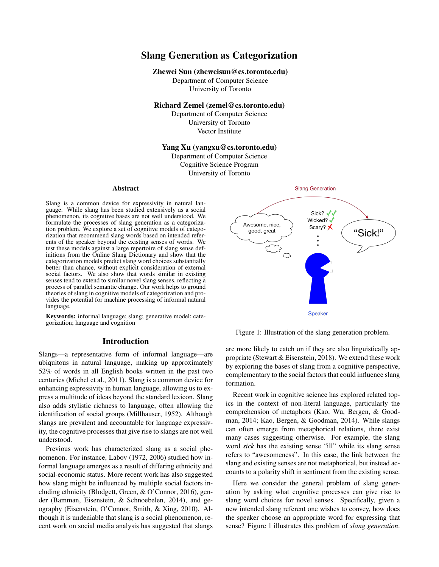# Slang Generation as Categorization

#### Zhewei Sun (zheweisun@cs.toronto.edu)

Department of Computer Science University of Toronto

## Richard Zemel (zemel@cs.toronto.edu)

Department of Computer Science University of Toronto Vector Institute

## Yang Xu (yangxu@cs.toronto.edu)

Department of Computer Science Cognitive Science Program University of Toronto

#### Abstract

Slang is a common device for expressivity in natural language. While slang has been studied extensively as a social phenomenon, its cognitive bases are not well understood. We formulate the processes of slang generation as a categorization problem. We explore a set of cognitive models of categorization that recommend slang words based on intended referents of the speaker beyond the existing senses of words. We test these models against a large repertoire of slang sense definitions from the Online Slang Dictionary and show that the categorization models predict slang word choices substantially better than chance, without explicit consideration of external social factors. We also show that words similar in existing senses tend to extend to similar novel slang senses, reflecting a process of parallel semantic change. Our work helps to ground theories of slang in cognitive models of categorization and provides the potential for machine processing of informal natural language.

Keywords: informal language; slang; generative model; categorization; language and cognition

### Introduction

Slangs—a representative form of informal language—are ubiquitous in natural language, making up approximately 52% of words in all English books written in the past two centuries (Michel et al., 2011). Slang is a common device for enhancing expressivity in human language, allowing us to express a multitude of ideas beyond the standard lexicon. Slang also adds stylistic richness to language, often allowing the identification of social groups (Millhauser, 1952). Although slangs are prevalent and accountable for language expressivity, the cognitive processes that give rise to slangs are not well understood.

Previous work has characterized slang as a social phenomenon. For instance, Labov (1972, 2006) studied how informal language emerges as a result of differing ethnicity and social-economic status. More recent work has also suggested how slang might be influenced by multiple social factors including ethnicity (Blodgett, Green, & O'Connor, 2016), gender (Bamman, Eisenstein, & Schnoebelen, 2014), and geography (Eisenstein, O'Connor, Smith, & Xing, 2010). Although it is undeniable that slang is a social phenomenon, recent work on social media analysis has suggested that slangs



Figure 1: Illustration of the slang generation problem.

are more likely to catch on if they are also linguistically appropriate (Stewart & Eisenstein, 2018). We extend these work by exploring the bases of slang from a cognitive perspective, complementary to the social factors that could influence slang formation.

Recent work in cognitive science has explored related topics in the context of non-literal language, particularly the comprehension of metaphors (Kao, Wu, Bergen, & Goodman, 2014; Kao, Bergen, & Goodman, 2014). While slangs can often emerge from metaphorical relations, there exist many cases suggesting otherwise. For example, the slang word *sick* has the existing sense "ill" while its slang sense refers to "awesomeness". In this case, the link between the slang and existing senses are not metaphorical, but instead accounts to a polarity shift in sentiment from the existing sense.

Here we consider the general problem of slang generation by asking what cognitive processes can give rise to slang word choices for novel senses. Specifically, given a new intended slang referent one wishes to convey, how does the speaker choose an appropriate word for expressing that sense? Figure 1 illustrates this problem of *slang generation*.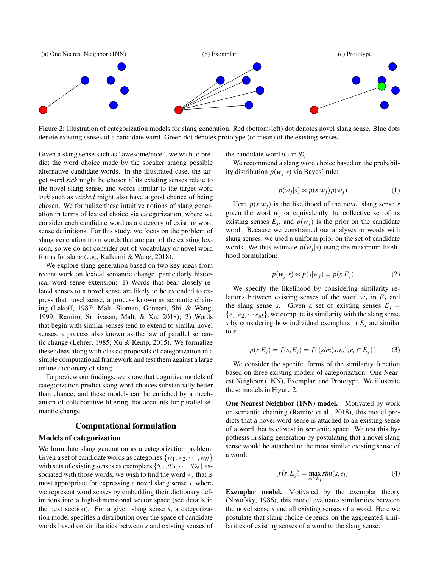

Figure 2: Illustration of categorization models for slang generation. Red (bottom-left) dot denotes novel slang sense. Blue dots denote existing senses of a candidate word. Green dot denotes prototype (or mean) of the existing senses.

Given a slang sense such as "awesome/nice", we wish to predict the word choice made by the speaker among possible alternative candidate words. In the illustrated case, the target word *sick* might be chosen if its existing senses relate to the novel slang sense, and words similar to the target word *sick* such as *wicked* might also have a good chance of being chosen. We formalize these intuitive notions of slang generation in terms of lexical choice via categorization, where we consider each candidate word as a category of existing word sense definitions. For this study, we focus on the problem of slang generation from words that are part of the existing lexicon, so we do not consider out-of-vocabulary or novel word forms for slang (e.g., Kulkarni & Wang, 2018).

We explore slang generation based on two key ideas from recent work on lexical semantic change, particularly historical word sense extension: 1) Words that bear closely related senses to a novel sense are likely to be extended to express that novel sense, a process known as semantic chaining (Lakoff, 1987; Malt, Sloman, Gennari, Shi, & Wang, 1999; Ramiro, Srinivasan, Malt, & Xu, 2018); 2) Words that begin with similar senses tend to extend to similar novel senses, a process also known as the law of parallel semantic change (Lehrer, 1985; Xu & Kemp, 2015). We formalize these ideas along with classic proposals of categorization in a simple computational framework and test them against a large online dictionary of slang.

To preview our findings, we show that cognitive models of categorization predict slang word choices substantially better than chance, and these models can be enriched by a mechanism of collaborative filtering that accounts for parallel semantic change.

#### Computational formulation

#### Models of categorization

We formulate slang generation as a categorization problem. Given a set of candidate words as categories  $\{w_1, w_2, \dots, w_N\}$ with sets of existing senses as exemplars  $\{\mathcal{E}_1, \mathcal{E}_2, \cdots, \mathcal{E}_N\}$  associated with those words, we wish to find the word  $w_s$  that is most appropriate for expressing a novel slang sense *s*, where we represent word senses by embedding their dictionary definitions into a high-dimensional vector space (see details in the next section). For a given slang sense *s*, a categorization model specifies a distribution over the space of candidate words based on similarities between *s* and existing senses of the candidate word  $w_j$  in  $\mathcal{E}_j$ .

We recommend a slang word choice based on the probability distribution  $p(w_j|s)$  via Bayes' rule:

$$
p(w_j|s) \propto p(s|w_j)p(w_j)
$$
 (1)

Here  $p(s|w_i)$  is the likelihood of the novel slang sense *s* given the word  $w_j$  or equivalently the collective set of its existing senses  $E_j$ , and  $p(w_j)$  is the prior on the candidate word. Because we constrained our analyses to words with slang senses, we used a uniform prior on the set of candidate words. We thus estimate  $p(w_j|s)$  using the maximum likelihood formulation:

$$
p(w_j|s) \propto p(s|w_j) = p(s|E_j)
$$
 (2)

We specify the likelihood by considering similarity relations between existing senses of the word  $w_j$  in  $E_j$  and the slang sense *s*. Given a set of existing senses  $E_j =$  ${e_1, e_2, \dots e_M}$ , we compute its similarity with the slang sense *s* by considering how individual exemplars in  $E_j$  are similar to *s*:

$$
p(s|E_j) = f(s, E_j) = f(\{sim(s, e_i); e_i \in E_j\})
$$
 (3)

We consider the specific forms of the similarity function based on three existing models of categorization: One Nearest Neighbor (1NN), Exemplar, and Prototype. We illustrate these models in Figure 2.

One Nearest Neighbor (1NN) model. Motivated by work on semantic chaining (Ramiro et al., 2018), this model predicts that a novel word sense is attached to an existing sense of a word that is closest in semantic space. We test this hypothesis in slang generation by postulating that a novel slang sense would be attached to the most similar existing sense of a word:

$$
f(s, E_j) = \max_{e_i \in E_j} sim(s, e_i)
$$
 (4)

Exemplar model. Motivated by the exemplar theory (Nosofsky, 1986), this model evaluates similarities between the novel sense *s* and all existing senses of a word. Here we postulate that slang choice depends on the aggregated similarities of existing senses of a word to the slang sense: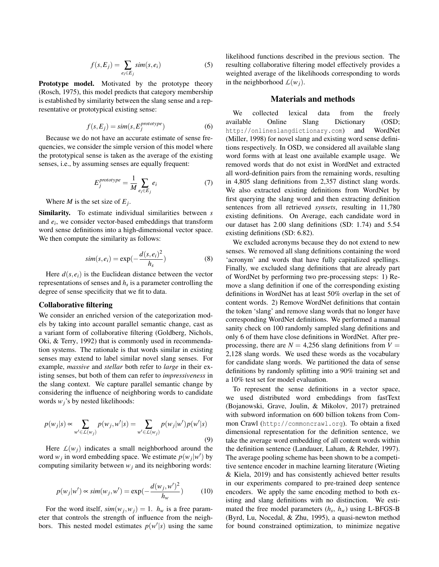$$
f(s, E_j) = \sum_{e_i \in E_j} sim(s, e_i)
$$
 (5)

Prototype model. Motivated by the prototype theory (Rosch, 1975), this model predicts that category membership is established by similarity between the slang sense and a representative or prototypical existing sense:

$$
f(s, E_j) = sim(s, E_j^{prototype})
$$
 (6)

Because we do not have an accurate estimate of sense frequencies, we consider the simple version of this model where the prototypical sense is taken as the average of the existing senses, i.e., by assuming senses are equally frequent:

$$
E_j^{prototype} = \frac{1}{M} \sum_{e_i \in E_j} e_i \tag{7}
$$

Where *M* is the set size of  $E_j$ .

Similarity. To estimate individual similarities between *s* and *e<sup>i</sup>* , we consider vector-based embeddings that transform word sense definitions into a high-dimensional vector space. We then compute the similarity as follows:

$$
sim(s, e_i) = \exp(-\frac{d(s, e_i)^2}{h_s})
$$
\n(8)

Here  $d(s, e_i)$  is the Euclidean distance between the vector representations of senses and *h<sup>s</sup>* is a parameter controlling the degree of sense specificity that we fit to data.

### Collaborative filtering

We consider an enriched version of the categorization models by taking into account parallel semantic change, cast as a variant form of collaborative filtering (Goldberg, Nichols, Oki, & Terry, 1992) that is commonly used in recommendation systems. The rationale is that words similar in existing senses may extend to label similar novel slang senses. For example, *massive* and *stellar* both refer to *large* in their existing senses, but both of them can refer to *impressiveness* in the slang context. We capture parallel semantic change by considering the influence of neighboring words to candidate words *wj*'s by nested likelihoods:

$$
p(w_j|s) \propto \sum_{w' \in \mathcal{L}(w_j)} p(w_j, w'|s) = \sum_{w' \in \mathcal{L}(w_j)} p(w_j|w')p(w'|s)
$$
\n(9)

Here  $L(w_i)$  indicates a small neighborhood around the word  $w_j$  in word embedding space. We estimate  $p(w_j|w')$  by computing similarity between  $w_j$  and its neighboring words:

$$
p(w_j|w') \propto sim(w_j, w') = \exp(-\frac{d(w_j, w')^2}{h_w})
$$
 (10)

For the word itself,  $sim(w_j, w_j) = 1$ .  $h_w$  is a free parameter that controls the strength of influence from the neighbors. This nested model estimates  $p(w'|s)$  using the same likelihood functions described in the previous section. The resulting collaborative filtering model effectively provides a weighted average of the likelihoods corresponding to words in the neighborhood  $L(w_i)$ .

#### Materials and methods

We collected lexical data from the freely available Online Slang Dictionary (OSD; http://onlineslangdictionary.com) and WordNet (Miller, 1998) for novel slang and existing word sense definitions respectively. In OSD, we considered all available slang word forms with at least one available example usage. We removed words that do not exist in WordNet and extracted all word-definition pairs from the remaining words, resulting in 4,805 slang definitions from 2,357 distinct slang words. We also extracted existing definitions from WordNet by first querying the slang word and then extracting definition sentences from all retrieved *synsets*, resulting in 11,780 existing definitions. On Average, each candidate word in our dataset has 2.00 slang definitions (SD: 1.74) and 5.54 existing definitions (SD: 6.82).

We excluded acronyms because they do not extend to new senses. We removed all slang definitions containing the word 'acronym' and words that have fully capitalized spellings. Finally, we excluded slang definitions that are already part of WordNet by performing two pre-processing steps: 1) Remove a slang definition if one of the corresponding existing definitions in WordNet has at least 50% overlap in the set of content words. 2) Remove WordNet definitions that contain the token 'slang' and remove slang words that no longer have corresponding WordNet definitions. We performed a manual sanity check on 100 randomly sampled slang definitions and only 6 of them have close definitions in WordNet. After preprocessing, there are  $N = 4,256$  slang definitions from  $V =$ 2,128 slang words. We used these words as the vocabulary for candidate slang words. We partitioned the data of sense definitions by randomly splitting into a 90% training set and a 10% test set for model evaluation.

To represent the sense definitions in a vector space, we used distributed word embeddings from fastText (Bojanowski, Grave, Joulin, & Mikolov, 2017) pretrained with subword information on 600 billion tokens from Common Crawl (http://commoncrawl.org). To obtain a fixed dimensional representation for the definition sentence, we take the average word embedding of all content words within the definition sentence (Landauer, Laham, & Rehder, 1997). The average pooling scheme has been shown to be a competitive sentence encoder in machine learning literature (Wieting & Kiela, 2019) and has consistently achieved better results in our experiments compared to pre-trained deep sentence encoders. We apply the same encoding method to both existing and slang definitions with no distinction. We estimated the free model parameters (*h<sup>s</sup>* , *hw*) using L-BFGS-B (Byrd, Lu, Nocedal, & Zhu, 1995), a quasi-newton method for bound constrained optimization, to minimize negative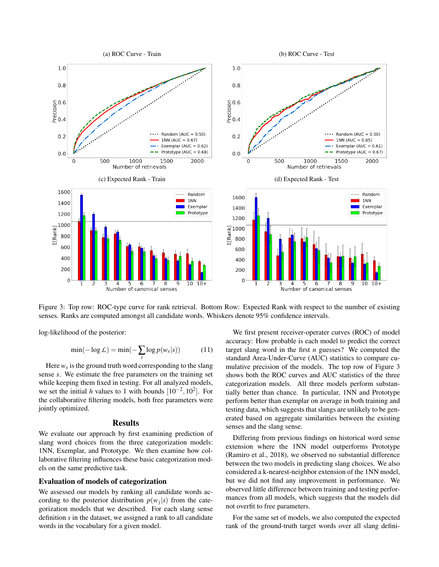

Figure 3: Top row: ROC-type curve for rank retrieval. Bottom Row: Expected Rank with respect to the number of existing senses. Ranks are computed amongst all candidate words. Whiskers denote 95% confidence intervals.

log-likelihood of the posterior:

$$
\min(-\log \mathcal{L}) = \min(-\sum_{s} \log p(w_{s}|s)) \tag{11}
$$

Here *w<sup>s</sup>* is the ground truth word corresponding to the slang sense *s*. We estimate the free parameters on the training set while keeping them fixed in testing. For all analyzed models, we set the initial *h* values to 1 with bounds  $[10^{-2}, 10^2]$ . For the collaborative filtering models, both free parameters were jointly optimized.

### **Results**

We evaluate our approach by first examining prediction of slang word choices from the three categorization models: 1NN, Exemplar, and Prototype. We then examine how collaborative filtering influences these basic categorization models on the same predictive task.

#### Evaluation of models of categorization

We assessed our models by ranking all candidate words according to the posterior distribution  $p(w_j|s)$  from the categorization models that we described. For each slang sense definition *s* in the dataset, we assigned a rank to all candidate words in the vocabulary for a given model.

We first present receiver-operater curves (ROC) of model accuracy: How probable is each model to predict the correct target slang word in the first *n* guesses? We computed the standard Area-Under-Curve (AUC) statistics to compare cumulative precision of the models. The top row of Figure 3 shows both the ROC curves and AUC statistics of the three categorization models. All three models perform substantially better than chance. In particular, 1NN and Prototype perform better than exemplar on average in both training and testing data, which suggests that slangs are unlikely to be generated based on aggregate similarities between the existing senses and the slang sense.

Differing from previous findings on historical word sense extension where the 1NN model outperforms Prototype (Ramiro et al., 2018), we observed no substantial difference between the two models in predicting slang choices. We also considered a k-nearest-neighbor extension of the 1NN model, but we did not find any improvement in performance. We observed little difference between training and testing performances from all models, which suggests that the models did not overfit to free parameters.

For the same set of models, we also computed the expected rank of the ground-truth target words over all slang defini-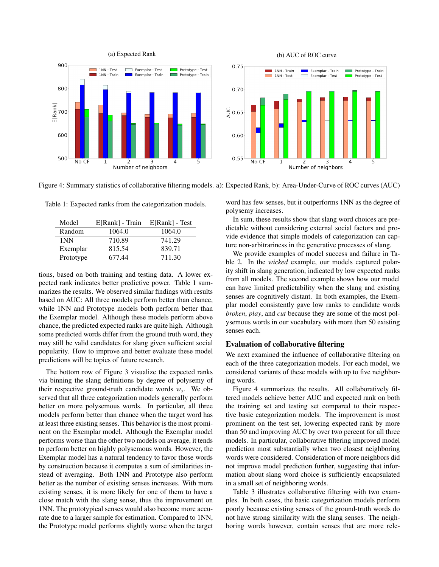

Figure 4: Summary statistics of collaborative filtering models. a): Expected Rank, b): Area-Under-Curve of ROC curves (AUC)

Table 1: Expected ranks from the categorization models.

| Model     | E[Rank] - Train | E[Rank] - Test |
|-----------|-----------------|----------------|
| Random    | 1064.0          | 1064.0         |
| 1NN       | 710.89          | 741.29         |
| Exemplar  | 815.54          | 839.71         |
| Prototype | 677.44          | 711.30         |

tions, based on both training and testing data. A lower expected rank indicates better predictive power. Table 1 summarizes the results. We observed similar findings with results based on AUC: All three models perform better than chance, while 1NN and Prototype models both perform better than the Exemplar model. Although these models perform above chance, the predicted expected ranks are quite high. Although some predicted words differ from the ground truth word, they may still be valid candidates for slang given sufficient social popularity. How to improve and better evaluate these model predictions will be topics of future research.

The bottom row of Figure 3 visualize the expected ranks via binning the slang definitions by degree of polysemy of their respective ground-truth candidate words *w<sup>s</sup>* . We observed that all three categorization models generally perform better on more polysemous words. In particular, all three models perform better than chance when the target word has at least three existing senses. This behavior is the most prominent on the Exemplar model. Although the Exemplar model performs worse than the other two models on average, it tends to perform better on highly polysemous words. However, the Exemplar model has a natural tendency to favor those words by construction because it computes a sum of similarities instead of averaging. Both 1NN and Prototype also perform better as the number of existing senses increases. With more existing senses, it is more likely for one of them to have a close match with the slang sense, thus the improvement on 1NN. The prototypical senses would also become more accurate due to a larger sample for estimation. Compared to 1NN, the Prototype model performs slightly worse when the target word has few senses, but it outperforms 1NN as the degree of polysemy increases.

In sum, these results show that slang word choices are predictable without considering external social factors and provide evidence that simple models of categorization can capture non-arbitrariness in the generative processes of slang.

We provide examples of model success and failure in Table 2. In the *wicked* example, our models captured polarity shift in slang generation, indicated by low expected ranks from all models. The second example shows how our model can have limited predictability when the slang and existing senses are cognitively distant. In both examples, the Exemplar model consistently gave low ranks to candidate words *broken*, *play*, and *cut* because they are some of the most polysemous words in our vocabulary with more than 50 existing senses each.

### Evaluation of collaborative filtering

We next examined the influence of collaborative filtering on each of the three categorization models. For each model, we considered variants of these models with up to five neighboring words.

Figure 4 summarizes the results. All collaboratively filtered models achieve better AUC and expected rank on both the training set and testing set compared to their respective basic categorization models. The improvement is most prominent on the test set, lowering expected rank by more than 50 and improving AUC by over two percent for all three models. In particular, collaborative filtering improved model prediction most substantially when two closest neighboring words were considered. Consideration of more neighbors did not improve model prediction further, suggesting that information about slang word choice is sufficiently encapsulated in a small set of neighboring words.

Table 3 illustrates collaborative filtering with two examples. In both cases, the basic categorization models perform poorly because existing senses of the ground-truth words do not have strong similarity with the slang senses. The neighboring words however, contain senses that are more rele-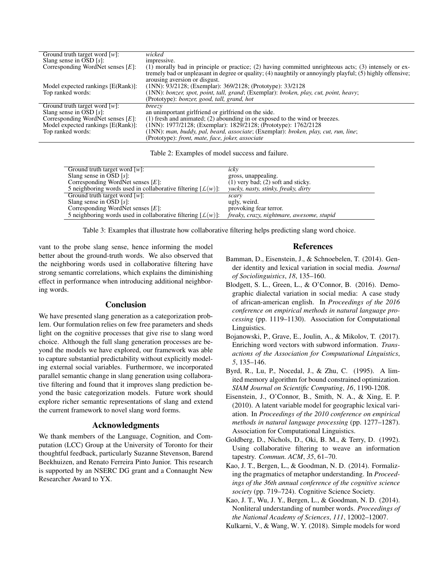| Ground truth target word $[w]$ :     | wicked                                                                                                     |  |
|--------------------------------------|------------------------------------------------------------------------------------------------------------|--|
| Slang sense in OSD $[s]$ :           | impressive.                                                                                                |  |
| Corresponding WordNet senses $[E]$ : | (1) morally bad in principle or practice; (2) having committed unrighteous acts; (3) intensely or ex-      |  |
|                                      | tremely bad or unpleasant in degree or quality; (4) naughtily or annoyingly playful; (5) highly offensive; |  |
|                                      | arousing aversion or disgust.                                                                              |  |
| Model expected rankings [E(Rank)]:   | $(1NN)$ : 93/2128; (Exemplar): 369/2128; (Prototype): 33/2128                                              |  |
| Top ranked words:                    | (1NN): bonzer, spot, point, tall, grand; (Exemplar): broken, play, cut, point, heavy;                      |  |
|                                      | (Prototype): <i>bonzer, good, tall, grand, hot</i>                                                         |  |
| Ground truth target word $[w]$ :     | <i>breezy</i>                                                                                              |  |
| Slang sense in OSD $[s]$ :           | an unimportant girlfriend or girlfriend on the side.                                                       |  |
| Corresponding WordNet senses $[E]$ : | (1) fresh and animated; (2) abounding in or exposed to the wind or breezes.                                |  |
| Model expected rankings [E(Rank)]:   | (1NN): 1977/2128; (Exemplar): 1829/2128; (Prototype): 1762/2128                                            |  |
| Top ranked words:                    | (1NN): man, buddy, pal, beard, associate; (Exemplar): broken, play, cut, run, line;                        |  |
|                                      | (Prototype): front, mate, face, joker, associate                                                           |  |

Table 2: Examples of model success and failure.

| Ground truth target word $[w]$ :                               | icky                                      |
|----------------------------------------------------------------|-------------------------------------------|
| Slang sense in OSD $[s]$ :                                     | gross, unappealing.                       |
| Corresponding WordNet senses $[E]$ :                           | $(1)$ very bad; $(2)$ soft and sticky.    |
| 5 neighboring words used in collaborative filtering $[L(w)]$ : | yucky, nasty, stinky, freaky, dirty       |
| Ground truth target word $[w]$ :                               | scary                                     |
| Slang sense in OSD $[s]$ :                                     | ugly, weird.                              |
| Corresponding WordNet senses $[E]$ :                           | provoking fear terror.                    |
| 5 neighboring words used in collaborative filtering $[L(w)]$ : | freaky, crazy, nightmare, awesome, stupid |

Table 3: Examples that illustrate how collaborative filtering helps predicting slang word choice.

vant to the probe slang sense, hence informing the model better about the ground-truth words. We also observed that the neighboring words used in collaborative filtering have strong semantic correlations, which explains the diminishing effect in performance when introducing additional neighboring words.

# Conclusion

We have presented slang generation as a categorization problem. Our formulation relies on few free parameters and sheds light on the cognitive processes that give rise to slang word choice. Although the full slang generation processes are beyond the models we have explored, our framework was able to capture substantial predictability without explicitly modeling external social variables. Furthermore, we incorporated parallel semantic change in slang generation using collaborative filtering and found that it improves slang prediction beyond the basic categorization models. Future work should explore richer semantic representations of slang and extend the current framework to novel slang word forms.

# Acknowledgments

We thank members of the Language, Cognition, and Computation (LCC) Group at the University of Toronto for their thoughtful feedback, particularly Suzanne Stevenson, Barend Beekhuizen, and Renato Ferreira Pinto Junior. This research is supported by an NSERC DG grant and a Connaught New Researcher Award to YX.

### References

- Bamman, D., Eisenstein, J., & Schnoebelen, T. (2014). Gender identity and lexical variation in social media. *Journal of Sociolinguistics*, *18*, 135–160.
- Blodgett, S. L., Green, L., & O'Connor, B. (2016). Demographic dialectal variation in social media: A case study of african-american english. In *Proceedings of the 2016 conference on empirical methods in natural language processing* (pp. 1119–1130). Association for Computational Linguistics.
- Bojanowski, P., Grave, E., Joulin, A., & Mikolov, T. (2017). Enriching word vectors with subword information. *Transactions of the Association for Computational Linguistics*, *5*, 135–146.
- Byrd, R., Lu, P., Nocedal, J., & Zhu, C. (1995). A limited memory algorithm for bound constrained optimization. *SIAM Journal on Scientific Computing*, *16*, 1190-1208.
- Eisenstein, J., O'Connor, B., Smith, N. A., & Xing, E. P. (2010). A latent variable model for geographic lexical variation. In *Proceedings of the 2010 conference on empirical methods in natural language processing* (pp. 1277–1287). Association for Computational Linguistics.
- Goldberg, D., Nichols, D., Oki, B. M., & Terry, D. (1992). Using collaborative filtering to weave an information tapestry. *Commun. ACM*, *35*, 61–70.
- Kao, J. T., Bergen, L., & Goodman, N. D. (2014). Formalizing the pragmatics of metaphor understanding. In *Proceedings of the 36th annual conference of the cognitive science society* (pp. 719–724). Cognitive Science Society.
- Kao, J. T., Wu, J. Y., Bergen, L., & Goodman, N. D. (2014). Nonliteral understanding of number words. *Proceedings of the National Academy of Sciences*, *111*, 12002–12007.

Kulkarni, V., & Wang, W. Y. (2018). Simple models for word